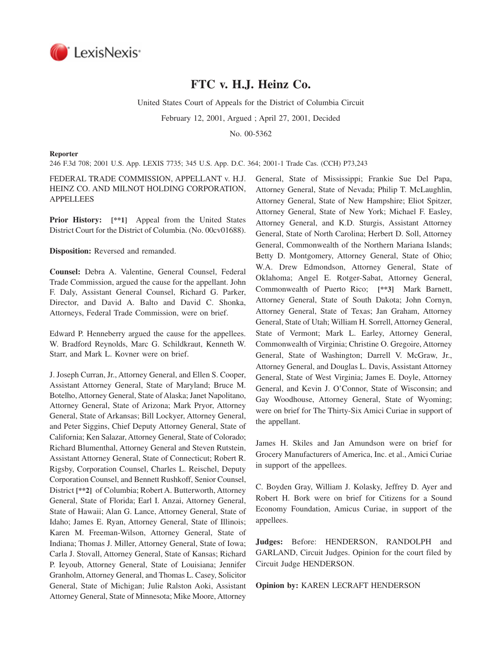

# **FTC v. H.J. Heinz Co.**

United States Court of Appeals for the District of Columbia Circuit

February 12, 2001, Argued ; April 27, 2001, Decided

No. 00-5362

#### **Reporter**

246 F.3d 708; 2001 U.S. App. LEXIS 7735; 345 U.S. App. D.C. 364; 2001-1 Trade Cas. (CCH) P73,243

# FEDERAL TRADE COMMISSION, APPELLANT v. H.J. HEINZ CO. AND MILNOT HOLDING CORPORATION, APPELLEES

**Prior History: [\*\*1]** Appeal from the United States District Court for the District of Columbia. (No. 00cv01688).

**Disposition:** Reversed and remanded.

**Counsel:** Debra A. Valentine, General Counsel, Federal Trade Commission, argued the cause for the appellant. John F. Daly, Assistant General Counsel, Richard G. Parker, Director, and David A. Balto and David C. Shonka, Attorneys, Federal Trade Commission, were on brief.

Edward P. Henneberry argued the cause for the appellees. W. Bradford Reynolds, Marc G. Schildkraut, Kenneth W. Starr, and Mark L. Kovner were on brief.

J. Joseph Curran, Jr., Attorney General, and Ellen S. Cooper, Assistant Attorney General, State of Maryland; Bruce M. Botelho, Attorney General, State of Alaska; Janet Napolitano, Attorney General, State of Arizona; Mark Pryor, Attorney General, State of Arkansas; Bill Lockyer, Attorney General, and Peter Siggins, Chief Deputy Attorney General, State of California; Ken Salazar, Attorney General, State of Colorado; Richard Blumenthal, Attorney General and Steven Rutstein, Assistant Attorney General, State of Connecticut; Robert R. Rigsby, Corporation Counsel, Charles L. Reischel, Deputy Corporation Counsel, and Bennett Rushkoff, Senior Counsel, District **[\*\*2]** of Columbia; Robert A. Butterworth, Attorney General, State of Florida; Earl I. Anzai, Attorney General, State of Hawaii; Alan G. Lance, Attorney General, State of Idaho; James E. Ryan, Attorney General, State of Illinois; Karen M. Freeman-Wilson, Attorney General, State of Indiana; Thomas J. Miller, Attorney General, State of Iowa; Carla J. Stovall, Attorney General, State of Kansas; Richard P. Ieyoub, Attorney General, State of Louisiana; Jennifer Granholm, Attorney General, and Thomas L. Casey, Solicitor General, State of Michigan; Julie Ralston Aoki, Assistant Attorney General, State of Minnesota; Mike Moore, Attorney

General, State of Mississippi; Frankie Sue Del Papa, Attorney General, State of Nevada; Philip T. McLaughlin, Attorney General, State of New Hampshire; Eliot Spitzer, Attorney General, State of New York; Michael F. Easley, Attorney General, and K.D. Sturgis, Assistant Attorney General, State of North Carolina; Herbert D. Soll, Attorney General, Commonwealth of the Northern Mariana Islands; Betty D. Montgomery, Attorney General, State of Ohio; W.A. Drew Edmondson, Attorney General, State of Oklahoma; Angel E. Rotger-Sabat, Attorney General, Commonwealth of Puerto Rico; **[\*\*3]** Mark Barnett, Attorney General, State of South Dakota; John Cornyn, Attorney General, State of Texas; Jan Graham, Attorney General, State of Utah; William H. Sorrell, Attorney General, State of Vermont; Mark L. Earley, Attorney General, Commonwealth of Virginia; Christine O. Gregoire, Attorney General, State of Washington; Darrell V. McGraw, Jr., Attorney General, and Douglas L. Davis, Assistant Attorney General, State of West Virginia; James E. Doyle, Attorney General, and Kevin J. O'Connor, State of Wisconsin; and Gay Woodhouse, Attorney General, State of Wyoming; were on brief for The Thirty-Six Amici Curiae in support of the appellant.

James H. Skiles and Jan Amundson were on brief for Grocery Manufacturers of America, Inc. et al., Amici Curiae in support of the appellees.

C. Boyden Gray, William J. Kolasky, Jeffrey D. Ayer and Robert H. Bork were on brief for Citizens for a Sound Economy Foundation, Amicus Curiae, in support of the appellees.

**Judges:** Before: HENDERSON, RANDOLPH and GARLAND, Circuit Judges. Opinion for the court filed by Circuit Judge HENDERSON.

**Opinion by:** KAREN LECRAFT HENDERSON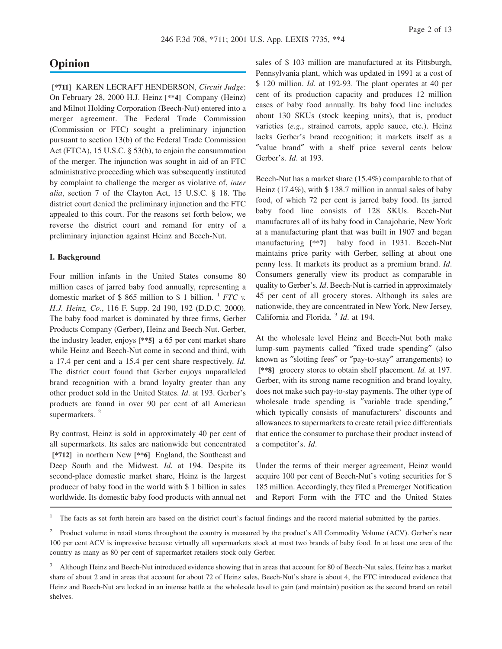# **Opinion**

**[\*711]** KAREN LECRAFT HENDERSON, *Circuit Judge*: On February 28, 2000 H.J. Heinz **[\*\*4]** Company (Heinz) and Milnot Holding Corporation (Beech-Nut) entered into a merger agreement. The Federal Trade Commission (Commission or FTC) sought a preliminary injunction pursuant to section 13(b) of the Federal Trade Commission Act (FTCA), 15 U.S.C. § 53(b), to enjoin the consummation of the merger. The injunction was sought in aid of an FTC administrative proceeding which was subsequently instituted by complaint to challenge the merger as violative of, *inter alia*, section 7 of the Clayton Act, 15 U.S.C. § 18. The district court denied the preliminary injunction and the FTC appealed to this court. For the reasons set forth below, we reverse the district court and remand for entry of a preliminary injunction against Heinz and Beech-Nut.

### **I. Background**

Four million infants in the United States consume 80 million cases of jarred baby food annually, representing a domestic market of \$ 865 million to \$ 1 billion. <sup>1</sup> *FTC v. H.J. Heinz, Co.*, 116 F. Supp. 2d 190, 192 (D.D.C. 2000). The baby food market is dominated by three firms, Gerber Products Company (Gerber), Heinz and Beech-Nut. Gerber, the industry leader, enjoys **[\*\*5]** a 65 per cent market share while Heinz and Beech-Nut come in second and third, with a 17.4 per cent and a 15.4 per cent share respectively. *Id*. The district court found that Gerber enjoys unparalleled brand recognition with a brand loyalty greater than any other product sold in the United States. *Id*. at 193. Gerber's products are found in over 90 per cent of all American supermarkets.<sup>2</sup>

By contrast, Heinz is sold in approximately 40 per cent of all supermarkets. Its sales are nationwide but concentrated **[\*712]** in northern New **[\*\*6]** England, the Southeast and Deep South and the Midwest. *Id*. at 194. Despite its second-place domestic market share, Heinz is the largest producer of baby food in the world with \$ 1 billion in sales worldwide. Its domestic baby food products with annual net

sales of \$ 103 million are manufactured at its Pittsburgh, Pennsylvania plant, which was updated in 1991 at a cost of \$ 120 million. *Id*. at 192-93. The plant operates at 40 per cent of its production capacity and produces 12 million cases of baby food annually. Its baby food line includes about 130 SKUs (stock keeping units), that is, product varieties (*e.g.*, strained carrots, apple sauce, etc.). Heinz lacks Gerber's brand recognition; it markets itself as a ″value brand″ with a shelf price several cents below Gerber's. *Id*. at 193.

Beech-Nut has a market share (15.4%) comparable to that of Heinz (17.4%), with \$ 138.7 million in annual sales of baby food, of which 72 per cent is jarred baby food. Its jarred baby food line consists of 128 SKUs. Beech-Nut manufactures all of its baby food in Canajoharie, New York at a manufacturing plant that was built in 1907 and began manufacturing **[\*\*7]** baby food in 1931. Beech-Nut maintains price parity with Gerber, selling at about one penny less. It markets its product as a premium brand. *Id*. Consumers generally view its product as comparable in quality to Gerber's. *Id*. Beech-Nut is carried in approximately 45 per cent of all grocery stores. Although its sales are nationwide, they are concentrated in New York, New Jersey, California and Florida. <sup>3</sup> *Id*. at 194.

At the wholesale level Heinz and Beech-Nut both make lump-sum payments called ″fixed trade spending″ (also known as ″slotting fees″ or ″pay-to-stay″ arrangements) to **[\*\*8]** grocery stores to obtain shelf placement. *Id.* at 197. Gerber, with its strong name recognition and brand loyalty, does not make such pay-to-stay payments. The other type of wholesale trade spending is ″variable trade spending,″ which typically consists of manufacturers' discounts and allowances to supermarkets to create retail price differentials that entice the consumer to purchase their product instead of a competitor's. *Id*.

Under the terms of their merger agreement, Heinz would acquire 100 per cent of Beech-Nut's voting securities for \$ 185 million. Accordingly, they filed a Premerger Notification and Report Form with the FTC and the United States

1 The facts as set forth herein are based on the district court's factual findings and the record material submitted by the parties.

<sup>2</sup> Product volume in retail stores throughout the country is measured by the product's All Commodity Volume (ACV). Gerber's near 100 per cent ACV is impressive because virtually all supermarkets stock at most two brands of baby food. In at least one area of the country as many as 80 per cent of supermarket retailers stock only Gerber.

<sup>&</sup>lt;sup>3</sup> Although Heinz and Beech-Nut introduced evidence showing that in areas that account for 80 of Beech-Nut sales, Heinz has a market share of about 2 and in areas that account for about 72 of Heinz sales, Beech-Nut's share is about 4, the FTC introduced evidence that Heinz and Beech-Nut are locked in an intense battle at the wholesale level to gain (and maintain) position as the second brand on retail shelves.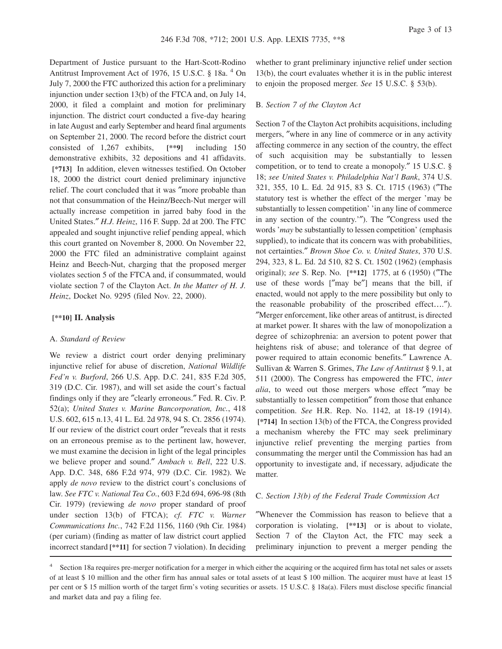Department of Justice pursuant to the Hart-Scott-Rodino Antitrust Improvement Act of 1976, 15 U.S.C. § 18a. <sup>4</sup> On July 7, 2000 the FTC authorized this action for a preliminary injunction under section 13(b) of the FTCA and, on July 14, 2000, it filed a complaint and motion for preliminary injunction. The district court conducted a five-day hearing in late August and early September and heard final arguments on September 21, 2000. The record before the district court consisted of 1,267 exhibits, **[\*\*9]** including 150 demonstrative exhibits, 32 depositions and 41 affidavits. **[\*713]** In addition, eleven witnesses testified. On October 18, 2000 the district court denied preliminary injunctive relief. The court concluded that it was ″more probable than not that consummation of the Heinz/Beech-Nut merger will actually increase competition in jarred baby food in the United States.″ *H.J. Heinz*, 116 F. Supp. 2d at 200. The FTC appealed and sought injunctive relief pending appeal, which this court granted on November 8, 2000. On November 22, 2000 the FTC filed an administrative complaint against Heinz and Beech-Nut, charging that the proposed merger violates section 5 of the FTCA and, if consummated, would violate section 7 of the Clayton Act. *In the Matter of H. J. Heinz*, Docket No. 9295 (filed Nov. 22, 2000).

#### **[\*\*10] II. Analysis**

#### A. *Standard of Review*

We review a district court order denying preliminary injunctive relief for abuse of discretion, *National Wildlife Fed'n v. Burford*, 266 U.S. App. D.C. 241, 835 F.2d 305, 319 (D.C. Cir. 1987), and will set aside the court's factual findings only if they are ″clearly erroneous.″ Fed. R. Civ. P. 52(a); *United States v. Marine Bancorporation, Inc.*, 418 U.S. 602, 615 n.13, 41 L. Ed. 2d 978, 94 S. Ct. 2856 (1974). If our review of the district court order ″reveals that it rests on an erroneous premise as to the pertinent law, however, we must examine the decision in light of the legal principles we believe proper and sound.″ *Ambach v. Bell*, 222 U.S. App. D.C. 348, 686 F.2d 974, 979 (D.C. Cir. 1982). We apply *de novo* review to the district court's conclusions of law. *See FTC v. National Tea Co.*, 603 F.2d 694, 696-98 (8th Cir. 1979) (reviewing *de novo* proper standard of proof under section 13(b) of FTCA); *cf. FTC v. Warner Communications Inc.*, 742 F.2d 1156, 1160 (9th Cir. 1984) (per curiam) (finding as matter of law district court applied incorrect standard **[\*\*11]** for section 7 violation). In deciding

whether to grant preliminary injunctive relief under section 13(b), the court evaluates whether it is in the public interest to enjoin the proposed merger. *See* 15 U.S.C. § 53(b).

#### B. *Section 7 of the Clayton Act*

Section 7 of the Clayton Act prohibits acquisitions, including mergers, ″where in any line of commerce or in any activity affecting commerce in any section of the country, the effect of such acquisition may be substantially to lessen competition, or to tend to create a monopoly.″ 15 U.S.C. § 18; *see United States v. Philadelphia Nat'l Bank*, 374 U.S. 321, 355, 10 L. Ed. 2d 915, 83 S. Ct. 1715 (1963) (″The statutory test is whether the effect of the merger 'may be substantially to lessen competition' 'in any line of commerce in any section of the country.'″). The ″Congress used the words '*may* be substantially to lessen competition' (emphasis supplied), to indicate that its concern was with probabilities, not certainties.″ *Brown Shoe Co. v. United States*, 370 U.S. 294, 323, 8 L. Ed. 2d 510, 82 S. Ct. 1502 (1962) (emphasis original); *see* S. Rep. No. **[\*\*12]** 1775, at 6 (1950) (″The use of these words [″may be″] means that the bill, if enacted, would not apply to the mere possibility but only to the reasonable probability of the proscribed effect….″). ″Merger enforcement, like other areas of antitrust, is directed at market power. It shares with the law of monopolization a degree of schizophrenia: an aversion to potent power that heightens risk of abuse; and tolerance of that degree of power required to attain economic benefits.″ Lawrence A. Sullivan & Warren S. Grimes, *The Law of Antitrust* § 9.1, at 511 (2000). The Congress has empowered the FTC, *inter alia*, to weed out those mergers whose effect ″may be substantially to lessen competition″ from those that enhance competition. *See* H.R. Rep. No. 1142, at 18-19 (1914). **[\*714]** In section 13(b) of the FTCA, the Congress provided a mechanism whereby the FTC may seek preliminary injunctive relief preventing the merging parties from consummating the merger until the Commission has had an opportunity to investigate and, if necessary, adjudicate the matter.

#### C. *Section 13(b) of the Federal Trade Commission Act*

″Whenever the Commission has reason to believe that a corporation is violating, **[\*\*13]** or is about to violate, Section 7 of the Clayton Act, the FTC may seek a preliminary injunction to prevent a merger pending the

<sup>4</sup> Section 18a requires pre-merger notification for a merger in which either the acquiring or the acquired firm has total net sales or assets of at least \$ 10 million and the other firm has annual sales or total assets of at least \$ 100 million. The acquirer must have at least 15 per cent or \$ 15 million worth of the target firm's voting securities or assets. 15 U.S.C. § 18a(a). Filers must disclose specific financial and market data and pay a filing fee.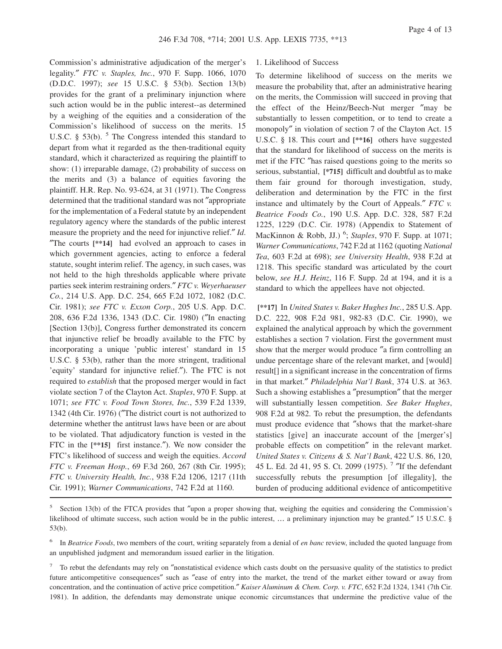Commission's administrative adjudication of the merger's legality.″ *FTC v. Staples, Inc.*, 970 F. Supp. 1066, 1070 (D.D.C. 1997); *see* 15 U.S.C. § 53(b). Section 13(b) provides for the grant of a preliminary injunction where such action would be in the public interest--as determined by a weighing of the equities and a consideration of the Commission's likelihood of success on the merits. 15 U.S.C.  $\S$  53(b).  $\frac{5}{5}$  The Congress intended this standard to depart from what it regarded as the then-traditional equity standard, which it characterized as requiring the plaintiff to show: (1) irreparable damage, (2) probability of success on the merits and (3) a balance of equities favoring the plaintiff. H.R. Rep. No. 93-624, at 31 (1971). The Congress determined that the traditional standard was not ″appropriate for the implementation of a Federal statute by an independent regulatory agency where the standards of the public interest measure the propriety and the need for injunctive relief.″ *Id*. ″The courts **[\*\*14]** had evolved an approach to cases in which government agencies, acting to enforce a federal statute, sought interim relief. The agency, in such cases, was not held to the high thresholds applicable where private parties seek interim restraining orders.″ *FTC v. Weyerhaeuser Co.*, 214 U.S. App. D.C. 254, 665 F.2d 1072, 1082 (D.C. Cir. 1981); *see FTC v. Exxon Corp.*, 205 U.S. App. D.C. 208, 636 F.2d 1336, 1343 (D.C. Cir. 1980) (″In enacting [Section 13(b)], Congress further demonstrated its concern that injunctive relief be broadly available to the FTC by incorporating a unique 'public interest' standard in 15 U.S.C. § 53(b), rather than the more stringent, traditional 'equity' standard for injunctive relief.″). The FTC is not required to *establish* that the proposed merger would in fact violate section 7 of the Clayton Act. *Staples*, 970 F. Supp. at 1071; *see FTC v. Food Town Stores, Inc.*, 539 F.2d 1339, 1342 (4th Cir. 1976) (″The district court is not authorized to determine whether the antitrust laws have been or are about to be violated. That adjudicatory function is vested in the FTC in the **[\*\*15]** first instance.″). We now consider the FTC's likelihood of success and weigh the equities. *Accord FTC v. Freeman Hosp.*, 69 F.3d 260, 267 (8th Cir. 1995); *FTC v. University Health, Inc.*, 938 F.2d 1206, 1217 (11th Cir. 1991); *Warner Communications*, 742 F.2d at 1160.

### 1. Likelihood of Success

To determine likelihood of success on the merits we measure the probability that, after an administrative hearing on the merits, the Commission will succeed in proving that the effect of the Heinz/Beech-Nut merger ″may be substantially to lessen competition, or to tend to create a monopoly″ in violation of section 7 of the Clayton Act. 15 U.S.C. § 18. This court and **[\*\*16]** others have suggested that the standard for likelihood of success on the merits is met if the FTC ″has raised questions going to the merits so serious, substantial, **[\*715]** difficult and doubtful as to make them fair ground for thorough investigation, study, deliberation and determination by the FTC in the first instance and ultimately by the Court of Appeals.″ *FTC v. Beatrice Foods Co.*, 190 U.S. App. D.C. 328, 587 F.2d 1225, 1229 (D.C. Cir. 1978) (Appendix to Statement of MacKinnon & Robb, JJ.) <sup>6</sup> ; *Staples*, 970 F. Supp. at 1071; *Warner Communications*, 742 F.2d at 1162 (quoting *National Tea*, 603 F.2d at 698); *see University Health*, 938 F.2d at 1218. This specific standard was articulated by the court below, *see H.J. Heinz*, 116 F. Supp. 2d at 194, and it is a standard to which the appellees have not objected.

**[\*\*17]** In *United States v. Baker Hughes Inc.*, 285 U.S. App. D.C. 222, 908 F.2d 981, 982-83 (D.C. Cir. 1990), we explained the analytical approach by which the government establishes a section 7 violation. First the government must show that the merger would produce ″a firm controlling an undue percentage share of the relevant market, and [would] result[] in a significant increase in the concentration of firms in that market.″ *Philadelphia Nat'l Bank*, 374 U.S. at 363. Such a showing establishes a ″presumption″ that the merger will substantially lessen competition. *See Baker Hughes*, 908 F.2d at 982. To rebut the presumption, the defendants must produce evidence that ″shows that the market-share statistics [give] an inaccurate account of the [merger's] probable effects on competition″ in the relevant market. *United States v. Citizens & S. Nat'l Bank*, 422 U.S. 86, 120, 45 L. Ed. 2d 41, 95 S. Ct. 2099 (1975).<sup>7</sup> "If the defendant successfully rebuts the presumption [of illegality], the burden of producing additional evidence of anticompetitive

<sup>&</sup>lt;sup>5</sup> Section 13(b) of the FTCA provides that "upon a proper showing that, weighing the equities and considering the Commission's likelihood of ultimate success, such action would be in the public interest, … a preliminary injunction may be granted.″ 15 U.S.C. § 53(b).

<sup>6</sup> In *Beatrice Foods*, two members of the court, writing separately from a denial of *en banc* review, included the quoted language from an unpublished judgment and memorandum issued earlier in the litigation.

<sup>&</sup>lt;sup>7</sup> To rebut the defendants may rely on "nonstatistical evidence which casts doubt on the persuasive quality of the statistics to predict future anticompetitive consequences″ such as ″ease of entry into the market, the trend of the market either toward or away from concentration, and the continuation of active price competition.″ *Kaiser Aluminum & Chem. Corp. v. FTC*, 652 F.2d 1324, 1341 (7th Cir. 1981). In addition, the defendants may demonstrate unique economic circumstances that undermine the predictive value of the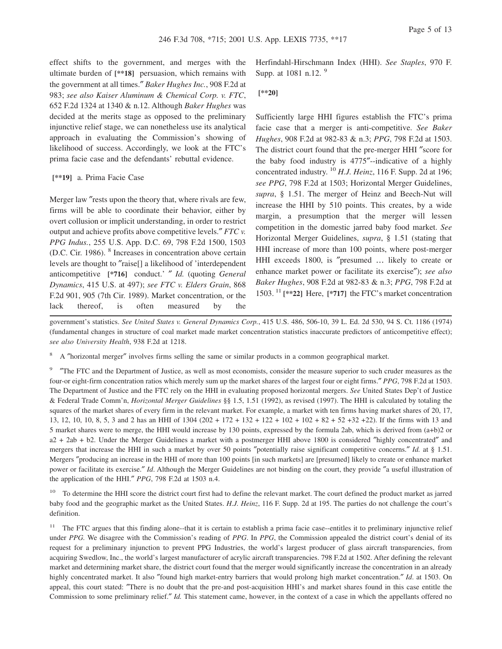effect shifts to the government, and merges with the ultimate burden of **[\*\*18]** persuasion, which remains with the government at all times.″ *Baker Hughes Inc.*, 908 F.2d at 983; *see also Kaiser Aluminum & Chemical Corp. v. FTC*, 652 F.2d 1324 at 1340 & n.12. Although *Baker Hughes* was decided at the merits stage as opposed to the preliminary injunctive relief stage, we can nonetheless use its analytical approach in evaluating the Commission's showing of likelihood of success. Accordingly, we look at the FTC's prima facie case and the defendants' rebuttal evidence.

#### **[\*\*19]** a. Prima Facie Case

Merger law ″rests upon the theory that, where rivals are few, firms will be able to coordinate their behavior, either by overt collusion or implicit understanding, in order to restrict output and achieve profits above competitive levels.″ *FTC v. PPG Indus.*, 255 U.S. App. D.C. 69, 798 F.2d 1500, 1503 (D.C. Cir. 1986). <sup>8</sup> Increases in concentration above certain levels are thought to ″raise[] a likelihood of 'interdependent anticompetitive **[\*716]** conduct.' ″ *Id.* (quoting *General Dynamics*, 415 U.S. at 497); *see FTC v. Elders Grain*, 868 F.2d 901, 905 (7th Cir. 1989). Market concentration, or the lack thereof, is often measured by the

Herfindahl-Hirschmann Index (HHI). *See Staples*, 970 F. Supp. at 1081 n.12. <sup>9</sup>

# **[\*\*20]**

Sufficiently large HHI figures establish the FTC's prima facie case that a merger is anti-competitive. *See Baker Hughes*, 908 F.2d at 982-83 & n.3; *PPG*, 798 F.2d at 1503. The district court found that the pre-merger HHI ″score for the baby food industry is 4775″--indicative of a highly concentrated industry. <sup>10</sup> *H.J. Heinz*, 116 F. Supp. 2d at 196; *see PPG*, 798 F.2d at 1503; Horizontal Merger Guidelines, *supra*, § 1.51. The merger of Heinz and Beech-Nut will increase the HHI by 510 points. This creates, by a wide margin, a presumption that the merger will lessen competition in the domestic jarred baby food market. *See* Horizontal Merger Guidelines, *supra*, § 1.51 (stating that HHI increase of more than 100 points, where post-merger HHI exceeds 1800, is ″presumed … likely to create or enhance market power or facilitate its exercise″); *see also Baker Hughes*, 908 F.2d at 982-83 & n.3; *PPG*, 798 F.2d at 1503. <sup>11</sup> **[\*\*22]** Here, **[\*717]** the FTC's market concentration

government's statistics. *See United States v. General Dynamics Corp.*, 415 U.S. 486, 506-10, 39 L. Ed. 2d 530, 94 S. Ct. 1186 (1974) (fundamental changes in structure of coal market made market concentration statistics inaccurate predictors of anticompetitive effect); *see also University Health*, 938 F.2d at 1218.

<sup>8</sup> A ″horizontal merger″ involves firms selling the same or similar products in a common geographical market.

9 ″The FTC and the Department of Justice, as well as most economists, consider the measure superior to such cruder measures as the four-or eight-firm concentration ratios which merely sum up the market shares of the largest four or eight firms.″ *PPG*, 798 F.2d at 1503. The Department of Justice and the FTC rely on the HHI in evaluating proposed horizontal mergers. *See* United States Dep't of Justice & Federal Trade Comm'n, *Horizontal Merger Guidelines* §§ 1.5, 1.51 (1992), as revised (1997). The HHI is calculated by totaling the squares of the market shares of every firm in the relevant market. For example, a market with ten firms having market shares of 20, 17, 13, 12, 10, 10, 8, 5, 3 and 2 has an HHI of 1304 (202 + 172 + 132 + 122 + 102 + 102 + 82 + 52 +32 +22). If the firms with 13 and 5 market shares were to merge, the HHI would increase by 130 points, expressed by the formula 2ab, which is derived from (a+b)2 or a2 + 2ab + b2. Under the Merger Guidelines a market with a postmerger HHI above 1800 is considered ″highly concentrated″ and mergers that increase the HHI in such a market by over 50 points ″potentially raise significant competitive concerns.″ *Id.* at § 1.51. Mergers ″producing an increase in the HHI of more than 100 points [in such markets] are [presumed] likely to create or enhance market power or facilitate its exercise.″ *Id*. Although the Merger Guidelines are not binding on the court, they provide ″a useful illustration of the application of the HHI.″ *PPG*, 798 F.2d at 1503 n.4.

<sup>10</sup> To determine the HHI score the district court first had to define the relevant market. The court defined the product market as jarred baby food and the geographic market as the United States. *H.J. Heinz*, 116 F. Supp. 2d at 195. The parties do not challenge the court's definition.

<sup>11</sup> The FTC argues that this finding alone--that it is certain to establish a prima facie case--entitles it to preliminary injunctive relief under *PPG.* We disagree with the Commission's reading of *PPG*. In *PPG*, the Commission appealed the district court's denial of its request for a preliminary injunction to prevent PPG Industries, the world's largest producer of glass aircraft transparencies, from acquiring Swedlow, Inc., the world's largest manufacturer of acrylic aircraft transparencies. 798 F.2d at 1502. After defining the relevant market and determining market share, the district court found that the merger would significantly increase the concentration in an already highly concentrated market. It also ″found high market-entry barriers that would prolong high market concentration.″ *Id*. at 1503. On appeal, this court stated: ″There is no doubt that the pre-and post-acquisition HHI's and market shares found in this case entitle the Commission to some preliminary relief.″ *Id.* This statement came, however, in the context of a case in which the appellants offered no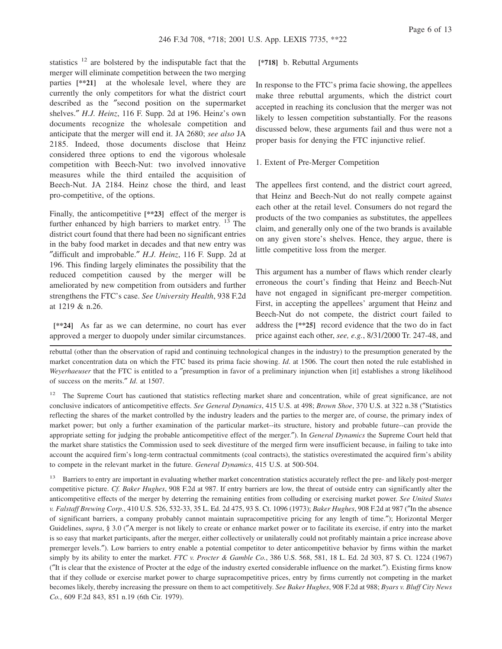statistics  $12$  are bolstered by the indisputable fact that the merger will eliminate competition between the two merging parties **[\*\*21]** at the wholesale level, where they are currently the only competitors for what the district court described as the ″second position on the supermarket shelves.″ *H.J. Heinz*, 116 F. Supp. 2d at 196. Heinz's own documents recognize the wholesale competition and anticipate that the merger will end it. JA 2680; *see also* JA 2185. Indeed, those documents disclose that Heinz considered three options to end the vigorous wholesale competition with Beech-Nut: two involved innovative measures while the third entailed the acquisition of Beech-Nut. JA 2184. Heinz chose the third, and least pro-competitive, of the options.

Finally, the anticompetitive **[\*\*23]** effect of the merger is further enhanced by high barriers to market entry.  $^{13}$  The district court found that there had been no significant entries in the baby food market in decades and that new entry was ″difficult and improbable.″ *H.J. Heinz*, 116 F. Supp. 2d at 196. This finding largely eliminates the possibility that the reduced competition caused by the merger will be ameliorated by new competition from outsiders and further strengthens the FTC's case. *See University Health*, 938 F.2d at 1219 & n.26.

**[\*\*24]** As far as we can determine, no court has ever approved a merger to duopoly under similar circumstances.

# **[\*718]** b. Rebuttal Arguments

In response to the FTC's prima facie showing, the appellees make three rebuttal arguments, which the district court accepted in reaching its conclusion that the merger was not likely to lessen competition substantially. For the reasons discussed below, these arguments fail and thus were not a proper basis for denying the FTC injunctive relief.

### 1. Extent of Pre-Merger Competition

The appellees first contend, and the district court agreed, that Heinz and Beech-Nut do not really compete against each other at the retail level. Consumers do not regard the products of the two companies as substitutes, the appellees claim, and generally only one of the two brands is available on any given store's shelves. Hence, they argue, there is little competitive loss from the merger.

This argument has a number of flaws which render clearly erroneous the court's finding that Heinz and Beech-Nut have not engaged in significant pre-merger competition. First, in accepting the appellees' argument that Heinz and Beech-Nut do not compete, the district court failed to address the **[\*\*25]** record evidence that the two do in fact price against each other, *see, e.g.*, 8/31/2000 Tr. 247-48, and

rebuttal (other than the observation of rapid and continuing technological changes in the industry) to the presumption generated by the market concentration data on which the FTC based its prima facie showing. *Id*. at 1506. The court then noted the rule established in *Weyerhaeuser* that the FTC is entitled to a ″presumption in favor of a preliminary injunction when [it] establishes a strong likelihood of success on the merits.″ *Id*. at 1507.

<sup>12</sup> The Supreme Court has cautioned that statistics reflecting market share and concentration, while of great significance, are not conclusive indicators of anticompetitive effects. *See General Dynamics*, 415 U.S. at 498; *Brown Shoe*, 370 U.S. at 322 n.38 (″Statistics reflecting the shares of the market controlled by the industry leaders and the parties to the merger are, of course, the primary index of market power; but only a further examination of the particular market--its structure, history and probable future--can provide the appropriate setting for judging the probable anticompetitive effect of the merger.″). In *General Dynamics* the Supreme Court held that the market share statistics the Commission used to seek divestiture of the merged firm were insufficient because, in failing to take into account the acquired firm's long-term contractual commitments (coal contracts), the statistics overestimated the acquired firm's ability to compete in the relevant market in the future. *General Dynamics*, 415 U.S. at 500-504.

<sup>13</sup> Barriers to entry are important in evaluating whether market concentration statistics accurately reflect the pre- and likely post-merger competitive picture. *Cf. Baker Hughes*, 908 F.2d at 987. If entry barriers are low, the threat of outside entry can significantly alter the anticompetitive effects of the merger by deterring the remaining entities from colluding or exercising market power. *See United States v. Falstaff Brewing Corp.*, 410 U.S. 526, 532-33, 35 L. Ed. 2d 475, 93 S. Ct. 1096 (1973); *Baker Hughes*, 908 F.2d at 987 (″In the absence of significant barriers, a company probably cannot maintain supracompetitive pricing for any length of time.″); Horizontal Merger Guidelines, *supra*, § 3.0 (″A merger is not likely to create or enhance market power or to facilitate its exercise, if entry into the market is so easy that market participants, after the merger, either collectively or unilaterally could not profitably maintain a price increase above premerger levels.″). Low barriers to entry enable a potential competitor to deter anticompetitive behavior by firms within the market simply by its ability to enter the market. *FTC v. Procter & Gamble Co.*, 386 U.S. 568, 581, 18 L. Ed. 2d 303, 87 S. Ct. 1224 (1967) (″It is clear that the existence of Procter at the edge of the industry exerted considerable influence on the market.″). Existing firms know that if they collude or exercise market power to charge supracompetitive prices, entry by firms currently not competing in the market becomes likely, thereby increasing the pressure on them to act competitively. *See Baker Hughes*, 908 F.2d at 988; *Byars v. Bluff City News Co.*, 609 F.2d 843, 851 n.19 (6th Cir. 1979).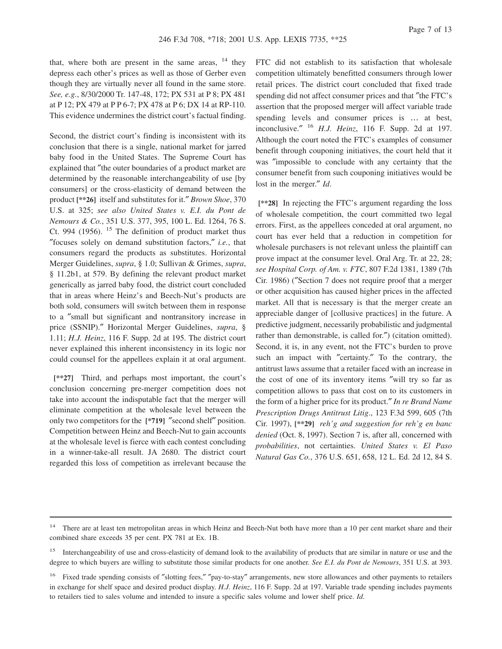that, where both are present in the same areas,  $14$  they depress each other's prices as well as those of Gerber even though they are virtually never all found in the same store. *See, e.g.*, 8/30/2000 Tr. 147-48, 172; PX 531 at P 8; PX 481 at P 12; PX 479 at P P 6-7; PX 478 at P 6; DX 14 at RP-110. This evidence undermines the district court's factual finding.

Second, the district court's finding is inconsistent with its conclusion that there is a single, national market for jarred baby food in the United States. The Supreme Court has explained that ″the outer boundaries of a product market are determined by the reasonable interchangeability of use [by consumers] or the cross-elasticity of demand between the product **[\*\*26]** itself and substitutes for it.″ *Brown Shoe*, 370 U.S. at 325; *see also United States v. E.I. du Pont de Nemours & Co.*, 351 U.S. 377, 395, 100 L. Ed. 1264, 76 S. Ct. 994 (1956).  $15$  The definition of product market thus ″focuses solely on demand substitution factors,″ *i.e.*, that consumers regard the products as substitutes. Horizontal Merger Guidelines, *supra*, § 1.0; Sullivan & Grimes, *supra*, § 11.2b1, at 579. By defining the relevant product market generically as jarred baby food, the district court concluded that in areas where Heinz's and Beech-Nut's products are both sold, consumers will switch between them in response to a ″small but significant and nontransitory increase in price (SSNIP).″ Horizontal Merger Guidelines, *supra*, § 1.11; *H.J. Heinz*, 116 F. Supp. 2d at 195. The district court never explained this inherent inconsistency in its logic nor could counsel for the appellees explain it at oral argument.

**[\*\*27]** Third, and perhaps most important, the court's conclusion concerning pre-merger competition does not take into account the indisputable fact that the merger will eliminate competition at the wholesale level between the only two competitors for the **[\*719]** ″second shelf″ position. Competition between Heinz and Beech-Nut to gain accounts at the wholesale level is fierce with each contest concluding in a winner-take-all result. JA 2680. The district court regarded this loss of competition as irrelevant because the

FTC did not establish to its satisfaction that wholesale competition ultimately benefitted consumers through lower retail prices. The district court concluded that fixed trade spending did not affect consumer prices and that ″the FTC's assertion that the proposed merger will affect variable trade spending levels and consumer prices is … at best, inconclusive.″ <sup>16</sup> *H.J. Heinz*, 116 F. Supp. 2d at 197. Although the court noted the FTC's examples of consumer benefit through couponing initiatives, the court held that it was ″impossible to conclude with any certainty that the consumer benefit from such couponing initiatives would be lost in the merger.″ *Id*.

**[\*\*28]** In rejecting the FTC's argument regarding the loss of wholesale competition, the court committed two legal errors. First, as the appellees conceded at oral argument, no court has ever held that a reduction in competition for wholesale purchasers is not relevant unless the plaintiff can prove impact at the consumer level. Oral Arg. Tr. at 22, 28; *see Hospital Corp. of Am. v. FTC*, 807 F.2d 1381, 1389 (7th Cir. 1986) (″Section 7 does not require proof that a merger or other acquisition has caused higher prices in the affected market. All that is necessary is that the merger create an appreciable danger of [collusive practices] in the future. A predictive judgment, necessarily probabilistic and judgmental rather than demonstrable, is called for.″) (citation omitted). Second, it is, in any event, not the FTC's burden to prove such an impact with "certainty." To the contrary, the antitrust laws assume that a retailer faced with an increase in the cost of one of its inventory items ″will try so far as competition allows to pass that cost on to its customers in the form of a higher price for its product.″ *In re Brand Name Prescription Drugs Antitrust Litig*., 123 F.3d 599, 605 (7th Cir. 1997), **[\*\*29]** *reh'g and suggestion for reh'g en banc denied* (Oct. 8, 1997). Section 7 is, after all, concerned with *probabilities*, not certainties. *United States v. El Paso Natural Gas Co.*, 376 U.S. 651, 658, 12 L. Ed. 2d 12, 84 S.

<sup>&</sup>lt;sup>14</sup> There are at least ten metropolitan areas in which Heinz and Beech-Nut both have more than a 10 per cent market share and their combined share exceeds 35 per cent. PX 781 at Ex. 1B.

<sup>&</sup>lt;sup>15</sup> Interchangeability of use and cross-elasticity of demand look to the availability of products that are similar in nature or use and the degree to which buyers are willing to substitute those similar products for one another. *See E.I. du Pont de Nemours*, 351 U.S. at 393.

<sup>&</sup>lt;sup>16</sup> Fixed trade spending consists of "slotting fees," "pay-to-stay" arrangements, new store allowances and other payments to retailers in exchange for shelf space and desired product display. *H.J. Heinz*, 116 F. Supp. 2d at 197. Variable trade spending includes payments to retailers tied to sales volume and intended to insure a specific sales volume and lower shelf price. *Id*.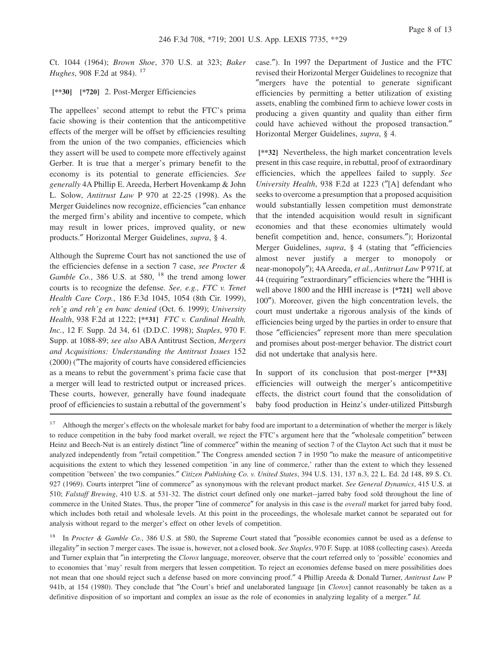Ct. 1044 (1964); *Brown Shoe*, 370 U.S. at 323; *Baker Hughes*, 908 F.2d at 984).<sup>17</sup>

**[\*\*30] [\*720]** 2. Post-Merger Efficiencies

The appellees' second attempt to rebut the FTC's prima facie showing is their contention that the anticompetitive effects of the merger will be offset by efficiencies resulting from the union of the two companies, efficiencies which they assert will be used to compete more effectively against Gerber. It is true that a merger's primary benefit to the economy is its potential to generate efficiencies. *See generally* 4A Phillip E. Areeda, Herbert Hovenkamp & John L. Solow, *Antitrust Law* P 970 at 22-25 (1998). As the Merger Guidelines now recognize, efficiencies ″can enhance the merged firm's ability and incentive to compete, which may result in lower prices, improved quality, or new products.″ Horizontal Merger Guidelines, *supra*, § 4.

Although the Supreme Court has not sanctioned the use of the efficiencies defense in a section 7 case, *see Procter & Gamble Co.*, 386 U.S. at 580, <sup>18</sup> the trend among lower courts is to recognize the defense. *See, e.g., FTC v. Tenet Health Care Corp.*, 186 F.3d 1045, 1054 (8th Cir. 1999), *reh'g and reh'g en banc denied* (Oct. 6. 1999); *University Health*, 938 F.2d at 1222; **[\*\*31]** *FTC v. Cardinal Health, Inc.*, 12 F. Supp. 2d 34, 61 (D.D.C. 1998); *Staples*, 970 F. Supp. at 1088-89; *see also* ABA Antitrust Section, *Mergers and Acquisitions: Understanding the Antitrust Issues* 152 (2000) (″The majority of courts have considered efficiencies as a means to rebut the government's prima facie case that a merger will lead to restricted output or increased prices. These courts, however, generally have found inadequate proof of efficiencies to sustain a rebuttal of the government's case.″). In 1997 the Department of Justice and the FTC revised their Horizontal Merger Guidelines to recognize that ″mergers have the potential to generate significant efficiencies by permitting a better utilization of existing assets, enabling the combined firm to achieve lower costs in producing a given quantity and quality than either firm could have achieved without the proposed transaction.″ Horizontal Merger Guidelines, *supra*, § 4.

**[\*\*32]** Nevertheless, the high market concentration levels present in this case require, in rebuttal, proof of extraordinary efficiencies, which the appellees failed to supply. *See University Health*, 938 F.2d at 1223 (″[A] defendant who seeks to overcome a presumption that a proposed acquisition would substantially lessen competition must demonstrate that the intended acquisition would result in significant economies and that these economies ultimately would benefit competition and, hence, consumers.″); Horizontal Merger Guidelines, *supra*, § 4 (stating that ″efficiencies almost never justify a merger to monopoly or near-monopoly″); 4AAreeda, *et al.*, *Antitrust Law* P 971f, at 44 (requiring ″extraordinary″ efficiencies where the ″HHI is well above 1800 and the HHI increase is **[\*721]** well above 100″). Moreover, given the high concentration levels, the court must undertake a rigorous analysis of the kinds of efficiencies being urged by the parties in order to ensure that those ″efficiencies″ represent more than mere speculation and promises about post-merger behavior. The district court did not undertake that analysis here.

In support of its conclusion that post-merger **[\*\*33]** efficiencies will outweigh the merger's anticompetitive effects, the district court found that the consolidation of baby food production in Heinz's under-utilized Pittsburgh

<sup>18</sup> In *Procter & Gamble Co.*, 386 U.S. at 580, the Supreme Court stated that "possible economies cannot be used as a defense to illegality″ in section 7 merger cases. The issue is, however, not a closed book. *See Staples*, 970 F. Supp. at 1088 (collecting cases). Areeda and Turner explain that ″in interpreting the *Clorox* language, moreover, observe that the court referred only to 'possible' economies and to economies that 'may' result from mergers that lessen competition. To reject an economies defense based on mere possibilities does not mean that one should reject such a defense based on more convincing proof.″ 4 Phillip Areeda & Donald Turner, *Antitrust Law* P 941b, at 154 (1980). They conclude that "the Court's brief and unelaborated language [in *Clorox*] cannot reasonably be taken as a definitive disposition of so important and complex an issue as the role of economies in analyzing legality of a merger.″ *Id.*

<sup>&</sup>lt;sup>17</sup> Although the merger's effects on the wholesale market for baby food are important to a determination of whether the merger is likely to reduce competition in the baby food market overall, we reject the FTC's argument here that the ″wholesale competition″ between Heinz and Beech-Nut is an entirely distinct ″line of commerce″ within the meaning of section 7 of the Clayton Act such that it must be analyzed independently from ″retail competition.″ The Congress amended section 7 in 1950 ″to make the measure of anticompetitive acquisitions the extent to which they lessened competition 'in any line of commerce,' rather than the extent to which they lessened competition 'between' the two companies.″ *Citizen Publishing Co. v. United States*, 394 U.S. 131, 137 n.3, 22 L. Ed. 2d 148, 89 S. Ct. 927 (1969). Courts interpret ″line of commerce″ as synonymous with the relevant product market. *See General Dynamics*, 415 U.S. at 510; *Falstaff Brewing*, 410 U.S. at 531-32. The district court defined only one market--jarred baby food sold throughout the line of commerce in the United States. Thus, the proper ″line of commerce″ for analysis in this case is the *overall* market for jarred baby food, which includes both retail and wholesale levels. At this point in the proceedings, the wholesale market cannot be separated out for analysis without regard to the merger's effect on other levels of competition.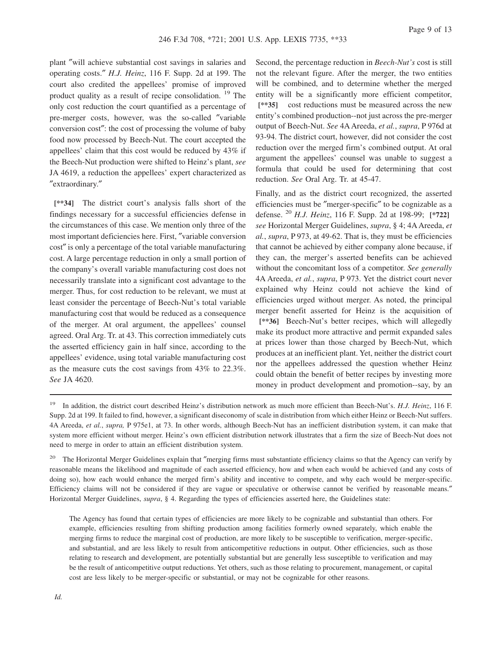plant ″will achieve substantial cost savings in salaries and operating costs.″ *H.J. Heinz*, 116 F. Supp. 2d at 199. The court also credited the appellees' promise of improved product quality as a result of recipe consolidation. <sup>19</sup> The only cost reduction the court quantified as a percentage of pre-merger costs, however, was the so-called ″variable conversion cost″: the cost of processing the volume of baby food now processed by Beech-Nut. The court accepted the appellees' claim that this cost would be reduced by 43% if the Beech-Nut production were shifted to Heinz's plant, *see* JA 4619, a reduction the appellees' expert characterized as ″extraordinary.″

**[\*\*34]** The district court's analysis falls short of the findings necessary for a successful efficiencies defense in the circumstances of this case. We mention only three of the most important deficiencies here. First, ″variable conversion cost″ is only a percentage of the total variable manufacturing cost. A large percentage reduction in only a small portion of the company's overall variable manufacturing cost does not necessarily translate into a significant cost advantage to the merger. Thus, for cost reduction to be relevant, we must at least consider the percentage of Beech-Nut's total variable manufacturing cost that would be reduced as a consequence of the merger. At oral argument, the appellees' counsel agreed. Oral Arg. Tr. at 43. This correction immediately cuts the asserted efficiency gain in half since, according to the appellees' evidence, using total variable manufacturing cost as the measure cuts the cost savings from 43% to 22.3%. *See* JA 4620.

Second, the percentage reduction in *Beech-Nut's* cost is still not the relevant figure. After the merger, the two entities will be combined, and to determine whether the merged entity will be a significantly more efficient competitor, **[\*\*35]** cost reductions must be measured across the new entity's combined production--not just across the pre-merger output of Beech-Nut. *See* 4A Areeda, *et al.*, *supra*, P 976d at 93-94. The district court, however, did not consider the cost reduction over the merged firm's combined output. At oral argument the appellees' counsel was unable to suggest a formula that could be used for determining that cost reduction. *See* Oral Arg. Tr. at 45-47.

Finally, and as the district court recognized, the asserted efficiencies must be ″merger-specific″ to be cognizable as a defense. <sup>20</sup> *H.J. Heinz*, 116 F. Supp. 2d at 198-99; **[\*722]** *see* Horizontal Merger Guidelines, *supra*, § 4; 4A Areeda, *et al.*, *supra*, P 973, at 49-62. That is, they must be efficiencies that cannot be achieved by either company alone because, if they can, the merger's asserted benefits can be achieved without the concomitant loss of a competitor. *See generally* 4A Areeda, *et al.*, *supra*, P 973. Yet the district court never explained why Heinz could not achieve the kind of efficiencies urged without merger. As noted, the principal merger benefit asserted for Heinz is the acquisition of **[\*\*36]** Beech-Nut's better recipes, which will allegedly make its product more attractive and permit expanded sales at prices lower than those charged by Beech-Nut, which produces at an inefficient plant. Yet, neither the district court nor the appellees addressed the question whether Heinz could obtain the benefit of better recipes by investing more money in product development and promotion--say, by an

<sup>19</sup> In addition, the district court described Heinz's distribution network as much more efficient than Beech-Nut's. *H.J. Heinz*, 116 F. Supp. 2d at 199. It failed to find, however, a significant diseconomy of scale in distribution from which either Heinz or Beech-Nut suffers. 4A Areeda, *et al.*, *supra,* P 975e1, at 73. In other words, although Beech-Nut has an inefficient distribution system, it can make that system more efficient without merger. Heinz's own efficient distribution network illustrates that a firm the size of Beech-Nut does not need to merge in order to attain an efficient distribution system.

<sup>&</sup>lt;sup>20</sup> The Horizontal Merger Guidelines explain that "merging firms must substantiate efficiency claims so that the Agency can verify by reasonable means the likelihood and magnitude of each asserted efficiency, how and when each would be achieved (and any costs of doing so), how each would enhance the merged firm's ability and incentive to compete, and why each would be merger-specific. Efficiency claims will not be considered if they are vague or speculative or otherwise cannot be verified by reasonable means." Horizontal Merger Guidelines, *supra*, § 4. Regarding the types of efficiencies asserted here, the Guidelines state:

The Agency has found that certain types of efficiencies are more likely to be cognizable and substantial than others. For example, efficiencies resulting from shifting production among facilities formerly owned separately, which enable the merging firms to reduce the marginal cost of production, are more likely to be susceptible to verification, merger-specific, and substantial, and are less likely to result from anticompetitive reductions in output. Other efficiencies, such as those relating to research and development, are potentially substantial but are generally less susceptible to verification and may be the result of anticompetitive output reductions. Yet others, such as those relating to procurement, management, or capital cost are less likely to be merger-specific or substantial, or may not be cognizable for other reasons.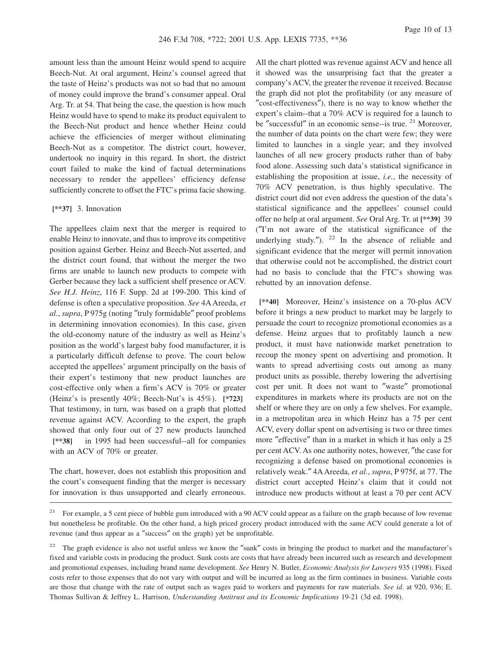amount less than the amount Heinz would spend to acquire Beech-Nut. At oral argument, Heinz's counsel agreed that the taste of Heinz's products was not so bad that no amount of money could improve the brand's consumer appeal. Oral Arg. Tr. at 54. That being the case, the question is how much Heinz would have to spend to make its product equivalent to the Beech-Nut product and hence whether Heinz could achieve the efficiencies of merger without eliminating Beech-Nut as a competitor. The district court, however, undertook no inquiry in this regard. In short, the district court failed to make the kind of factual determinations necessary to render the appellees' efficiency defense sufficiently concrete to offset the FTC's prima facie showing.

#### **[\*\*37]** 3. Innovation

The appellees claim next that the merger is required to enable Heinz to innovate, and thus to improve its competitive position against Gerber. Heinz and Beech-Nut asserted, and the district court found, that without the merger the two firms are unable to launch new products to compete with Gerber because they lack a sufficient shelf presence or ACV. *See H.J. Heinz*, 116 F. Supp. 2d at 199-200. This kind of defense is often a speculative proposition. *See* 4A Areeda, *et al.*, *supra*, P 975g (noting ″truly formidable″ proof problems in determining innovation economies). In this case, given the old-economy nature of the industry as well as Heinz's position as the world's largest baby food manufacturer, it is a particularly difficult defense to prove. The court below accepted the appellees' argument principally on the basis of their expert's testimony that new product launches are cost-effective only when a firm's ACV is 70% or greater (Heinz's is presently 40%; Beech-Nut's is 45%). **[\*723]** That testimony, in turn, was based on a graph that plotted revenue against ACV. According to the expert, the graph showed that only four out of 27 new products launched **[\*\*38]** in 1995 had been successful--all for companies with an ACV of 70% or greater.

The chart, however, does not establish this proposition and the court's consequent finding that the merger is necessary for innovation is thus unsupported and clearly erroneous.

All the chart plotted was revenue against ACV and hence all it showed was the unsurprising fact that the greater a company's ACV, the greater the revenue it received. Because the graph did not plot the profitability (or any measure of ″cost-effectiveness″), there is no way to know whether the expert's claim--that a 70% ACV is required for a launch to be "successful" in an economic sense--is true.  $2<sup>1</sup>$  Moreover, the number of data points on the chart were few; they were limited to launches in a single year; and they involved launches of all new grocery products rather than of baby food alone. Assessing such data's statistical significance in establishing the proposition at issue, *i.e.*, the necessity of 70% ACV penetration, is thus highly speculative. The district court did not even address the question of the data's statistical significance and the appellees' counsel could offer no help at oral argument. *See* Oral Arg. Tr. at **[\*\*39]** 39 (″I'm not aware of the statistical significance of the underlying study.").  $22 \text{ In the absence of reliable and}$ significant evidence that the merger will permit innovation that otherwise could not be accomplished, the district court had no basis to conclude that the FTC's showing was rebutted by an innovation defense.

**[\*\*40]** Moreover, Heinz's insistence on a 70-plus ACV before it brings a new product to market may be largely to persuade the court to recognize promotional economies as a defense. Heinz argues that to profitably launch a new product, it must have nationwide market penetration to recoup the money spent on advertising and promotion. It wants to spread advertising costs out among as many product units as possible, thereby lowering the advertising cost per unit. It does not want to ″waste″ promotional expenditures in markets where its products are not on the shelf or where they are on only a few shelves. For example, in a metropolitan area in which Heinz has a 75 per cent ACV, every dollar spent on advertising is two or three times more ″effective″ than in a market in which it has only a 25 per cent ACV. As one authority notes, however, ″the case for recognizing a defense based on promotional economies is relatively weak.″ 4AAreeda, *et al.*, *supra*, P 975f, at 77. The district court accepted Heinz's claim that it could not introduce new products without at least a 70 per cent ACV

<sup>&</sup>lt;sup>21</sup> For example, a 5 cent piece of bubble gum introduced with a 90 ACV could appear as a failure on the graph because of low revenue but nonetheless be profitable. On the other hand, a high priced grocery product introduced with the same ACV could generate a lot of revenue (and thus appear as a ″success″ on the graph) yet be unprofitable.

<sup>&</sup>lt;sup>22</sup> The graph evidence is also not useful unless we know the "sunk" costs in bringing the product to market and the manufacturer's fixed and variable costs in producing the product. Sunk costs are costs that have already been incurred such as research and development and promotional expenses, including brand name development. *See* Henry N. Butler, *Economic Analysis for Lawyers* 935 (1998). Fixed costs refer to those expenses that do not vary with output and will be incurred as long as the firm continues in business. Variable costs are those that change with the rate of output such as wages paid to workers and payments for raw materials. *See id*. at 920, 936; E. Thomas Sullivan & Jeffrey L. Harrison, *Understanding Antitrust and its Economic Implications* 19-21 (3d ed. 1998).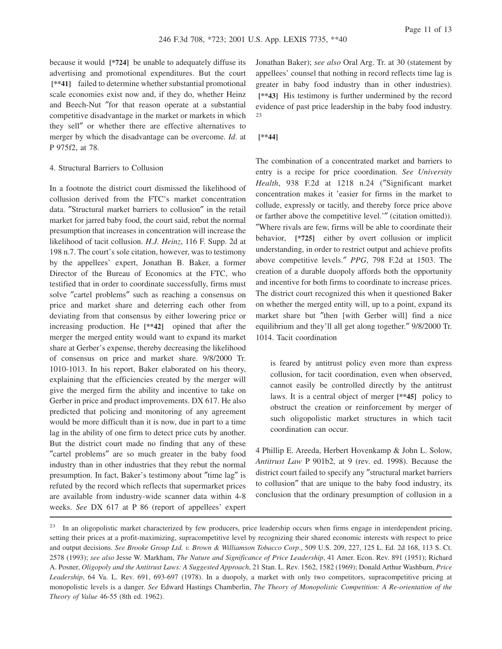because it would **[\*724]** be unable to adequately diffuse its advertising and promotional expenditures. But the court **[\*\*41]** failed to determine whether substantial promotional scale economies exist now and, if they do, whether Heinz and Beech-Nut ″for that reason operate at a substantial competitive disadvantage in the market or markets in which they sell″ or whether there are effective alternatives to merger by which the disadvantage can be overcome. *Id*. at P 975f2, at 78.

#### 4. Structural Barriers to Collusion

In a footnote the district court dismissed the likelihood of collusion derived from the FTC's market concentration data. ″Structural market barriers to collusion″ in the retail market for jarred baby food, the court said, rebut the normal presumption that increases in concentration will increase the likelihood of tacit collusion. *H.J. Heinz*, 116 F. Supp. 2d at 198 n.7. The court's sole citation, however, was to testimony by the appellees' expert, Jonathan B. Baker, a former Director of the Bureau of Economics at the FTC, who testified that in order to coordinate successfully, firms must solve ″cartel problems″ such as reaching a consensus on price and market share and deterring each other from deviating from that consensus by either lowering price or increasing production. He **[\*\*42]** opined that after the merger the merged entity would want to expand its market share at Gerber's expense, thereby decreasing the likelihood of consensus on price and market share. 9/8/2000 Tr. 1010-1013. In his report, Baker elaborated on his theory, explaining that the efficiencies created by the merger will give the merged firm the ability and incentive to take on Gerber in price and product improvements. DX 617. He also predicted that policing and monitoring of any agreement would be more difficult than it is now, due in part to a time lag in the ability of one firm to detect price cuts by another. But the district court made no finding that any of these ″cartel problems″ are so much greater in the baby food industry than in other industries that they rebut the normal presumption. In fact, Baker's testimony about ″time lag″ is refuted by the record which reflects that supermarket prices are available from industry-wide scanner data within 4-8 weeks. *See* DX 617 at P 86 (report of appellees' expert

Jonathan Baker); *see also* Oral Arg. Tr. at 30 (statement by appellees' counsel that nothing in record reflects time lag is greater in baby food industry than in other industries). **[\*\*43]** His testimony is further undermined by the record evidence of past price leadership in the baby food industry. 23

#### **[\*\*44]**

The combination of a concentrated market and barriers to entry is a recipe for price coordination. *See University Health*, 938 F.2d at 1218 n.24 (″Significant market concentration makes it 'easier for firms in the market to collude, expressly or tacitly, and thereby force price above or farther above the competitive level.'″ (citation omitted)). ″Where rivals are few, firms will be able to coordinate their behavior, **[\*725]** either by overt collusion or implicit understanding, in order to restrict output and achieve profits above competitive levels.″ *PPG*, 798 F.2d at 1503. The creation of a durable duopoly affords both the opportunity and incentive for both firms to coordinate to increase prices. The district court recognized this when it questioned Baker on whether the merged entity will, up to a point, expand its market share but ″then [with Gerber will] find a nice equilibrium and they'll all get along together.″ 9/8/2000 Tr. 1014. Tacit coordination

is feared by antitrust policy even more than express collusion, for tacit coordination, even when observed, cannot easily be controlled directly by the antitrust laws. It is a central object of merger **[\*\*45]** policy to obstruct the creation or reinforcement by merger of such oligopolistic market structures in which tacit coordination can occur.

4 Phillip E. Areeda, Herbert Hovenkamp & John L. Solow, *Antitrust Law* P 901b2, at 9 (rev. ed. 1998). Because the district court failed to specify any ″structural market barriers to collusion″ that are unique to the baby food industry, its conclusion that the ordinary presumption of collusion in a

<sup>&</sup>lt;sup>23</sup> In an oligopolistic market characterized by few producers, price leadership occurs when firms engage in interdependent pricing, setting their prices at a profit-maximizing, supracompetitive level by recognizing their shared economic interests with respect to price and output decisions. *See Brooke Group Ltd. v. Brown & Williamson Tobacco Corp*., 509 U.S. 209, 227, 125 L. Ed. 2d 168, 113 S. Ct. 2578 (1993); *see also* Jesse W. Markham, *The Nature and Significance of Price Leadership*, 41 Amer. Econ. Rev. 891 (1951); Richard A. Posner, *Oligopoly and the Antitrust Laws: A Suggested Approach*, 21 Stan. L. Rev. 1562, 1582 (1969); Donald Arthur Washburn, *Price Leadership*, 64 Va. L. Rev. 691, 693-697 (1978). In a duopoly, a market with only two competitors, supracompetitive pricing at monopolistic levels is a danger. *See* Edward Hastings Chamberlin, *The Theory of Monopolistic Competition: A Re-orientation of the Theory of Value* 46-55 (8th ed. 1962).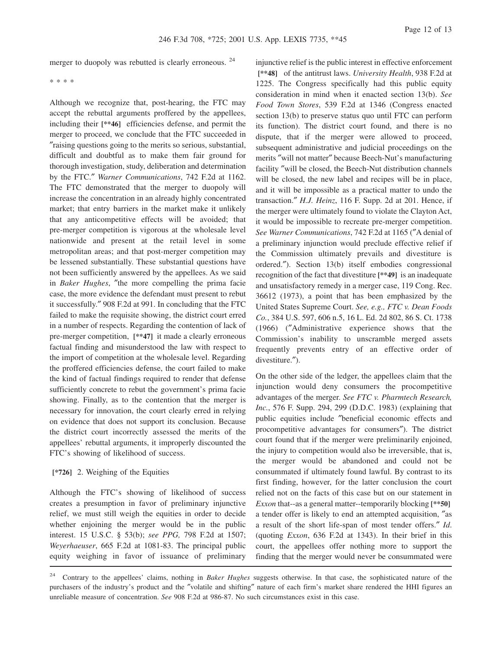merger to duopoly was rebutted is clearly erroneous.<sup>24</sup>

\* \* \* \*

Although we recognize that, post-hearing, the FTC may accept the rebuttal arguments proffered by the appellees, including their **[\*\*46]** efficiencies defense, and permit the merger to proceed, we conclude that the FTC succeeded in ″raising questions going to the merits so serious, substantial, difficult and doubtful as to make them fair ground for thorough investigation, study, deliberation and determination by the FTC.″ *Warner Communications*, 742 F.2d at 1162. The FTC demonstrated that the merger to duopoly will increase the concentration in an already highly concentrated market; that entry barriers in the market make it unlikely that any anticompetitive effects will be avoided; that pre-merger competition is vigorous at the wholesale level nationwide and present at the retail level in some metropolitan areas; and that post-merger competition may be lessened substantially. These substantial questions have not been sufficiently answered by the appellees. As we said in *Baker Hughes*, ″the more compelling the prima facie case, the more evidence the defendant must present to rebut it successfully.″ 908 F.2d at 991. In concluding that the FTC failed to make the requisite showing, the district court erred in a number of respects. Regarding the contention of lack of pre-merger competition, **[\*\*47]** it made a clearly erroneous factual finding and misunderstood the law with respect to the import of competition at the wholesale level. Regarding the proffered efficiencies defense, the court failed to make the kind of factual findings required to render that defense sufficiently concrete to rebut the government's prima facie showing. Finally, as to the contention that the merger is necessary for innovation, the court clearly erred in relying on evidence that does not support its conclusion. Because the district court incorrectly assessed the merits of the appellees' rebuttal arguments, it improperly discounted the FTC's showing of likelihood of success.

# **[\*726]** 2. Weighing of the Equities

Although the FTC's showing of likelihood of success creates a presumption in favor of preliminary injunctive relief, we must still weigh the equities in order to decide whether enjoining the merger would be in the public interest. 15 U.S.C. § 53(b); *see PPG,* 798 F.2d at 1507; *Weyerhaeuser*, 665 F.2d at 1081-83. The principal public equity weighing in favor of issuance of preliminary injunctive relief is the public interest in effective enforcement **[\*\*48]** of the antitrust laws. *University Health*, 938 F.2d at 1225. The Congress specifically had this public equity consideration in mind when it enacted section 13(b). *See Food Town Stores*, 539 F.2d at 1346 (Congress enacted section 13(b) to preserve status quo until FTC can perform its function). The district court found, and there is no dispute, that if the merger were allowed to proceed, subsequent administrative and judicial proceedings on the merits ″will not matter″ because Beech-Nut's manufacturing facility ″will be closed, the Beech-Nut distribution channels will be closed, the new label and recipes will be in place, and it will be impossible as a practical matter to undo the transaction.″ *H.J. Heinz*, 116 F. Supp. 2d at 201. Hence, if the merger were ultimately found to violate the Clayton Act, it would be impossible to recreate pre-merger competition. *See Warner Communications*, 742 F.2d at 1165 (″A denial of a preliminary injunction would preclude effective relief if the Commission ultimately prevails and divestiture is ordered.″). Section 13(b) itself embodies congressional recognition of the fact that divestiture **[\*\*49]** is an inadequate and unsatisfactory remedy in a merger case, 119 Cong. Rec. 36612 (1973), a point that has been emphasized by the United States Supreme Court. *See, e.g., FTC v. Dean Foods Co.*, 384 U.S. 597, 606 n.5, 16 L. Ed. 2d 802, 86 S. Ct. 1738 (1966) (″Administrative experience shows that the Commission's inability to unscramble merged assets frequently prevents entry of an effective order of divestiture.″).

On the other side of the ledger, the appellees claim that the injunction would deny consumers the procompetitive advantages of the merger. *See FTC v. Pharmtech Research, Inc.*, 576 F. Supp. 294, 299 (D.D.C. 1983) (explaining that public equities include ″beneficial economic effects and procompetitive advantages for consumers″). The district court found that if the merger were preliminarily enjoined, the injury to competition would also be irreversible, that is, the merger would be abandoned and could not be consummated if ultimately found lawful. By contrast to its first finding, however, for the latter conclusion the court relied not on the facts of this case but on our statement in *Exxon* that--as a general matter--temporarily blocking **[\*\*50]** a tender offer is likely to end an attempted acquisition, ″as a result of the short life-span of most tender offers.″ *Id*. (quoting *Exxon*, 636 F.2d at 1343). In their brief in this court, the appellees offer nothing more to support the finding that the merger would never be consummated were

<sup>24</sup> Contrary to the appellees' claims, nothing in *Baker Hughes* suggests otherwise. In that case, the sophisticated nature of the purchasers of the industry's product and the ″volatile and shifting″ nature of each firm's market share rendered the HHI figures an unreliable measure of concentration. *See* 908 F.2d at 986-87. No such circumstances exist in this case.